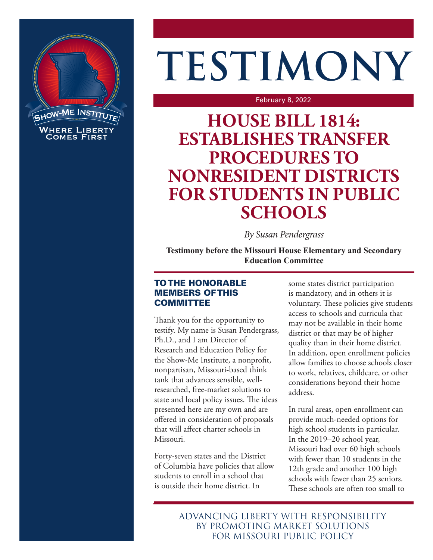

# **TESTIMONY**

#### February 8, 2022

## **HOUSE BILL 1814: ESTABLISHES TRANSFER PROCEDURES TO NONRESIDENT DISTRICTS FOR STUDENTS IN PUBLIC SCHOOLS**

*By Susan Pendergrass*

**Testimony before the Missouri House Elementary and Secondary Education Committee**

### TO THE HONORABLE MEMBERS OF THIS **COMMITTEE**

Thank you for the opportunity to testify. My name is Susan Pendergrass, Ph.D., and I am Director of Research and Education Policy for the Show-Me Institute, a nonprofit, nonpartisan, Missouri-based think tank that advances sensible, wellresearched, free-market solutions to state and local policy issues. The ideas presented here are my own and are offered in consideration of proposals that will affect charter schools in Missouri.

Forty-seven states and the District of Columbia have policies that allow students to enroll in a school that is outside their home district. In

some states district participation is mandatory, and in others it is voluntary. These policies give students access to schools and curricula that may not be available in their home district or that may be of higher quality than in their home district. In addition, open enrollment policies allow families to choose schools closer to work, relatives, childcare, or other considerations beyond their home address.

In rural areas, open enrollment can provide much-needed options for high school students in particular. In the 2019–20 school year, Missouri had over 60 high schools with fewer than 10 students in the 12th grade and another 100 high schools with fewer than 25 seniors. These schools are often too small to

ADVANCING LIBERTY WITH RESPONSIBILITY BY PROMOTING MARKET SOLUTIONS FOR MISSOURI PUBLIC POLICY